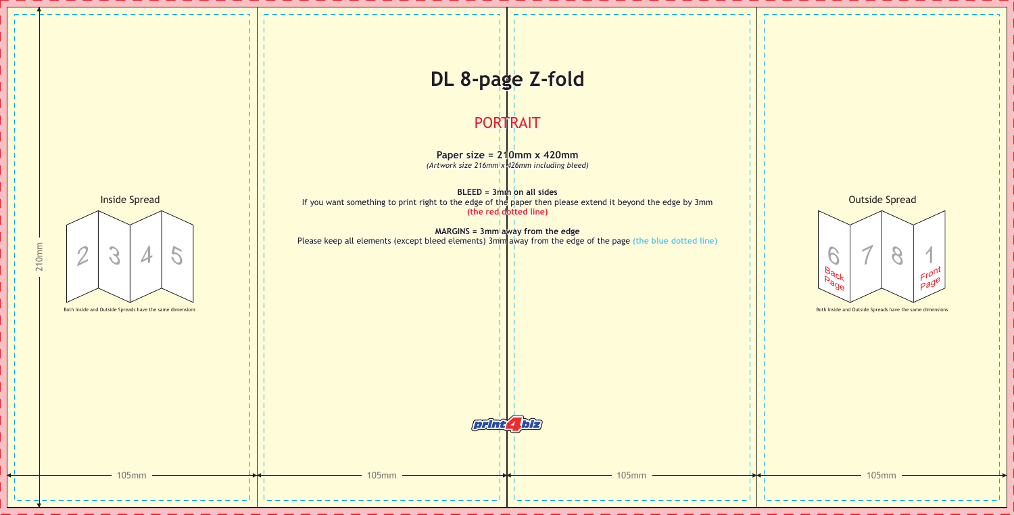